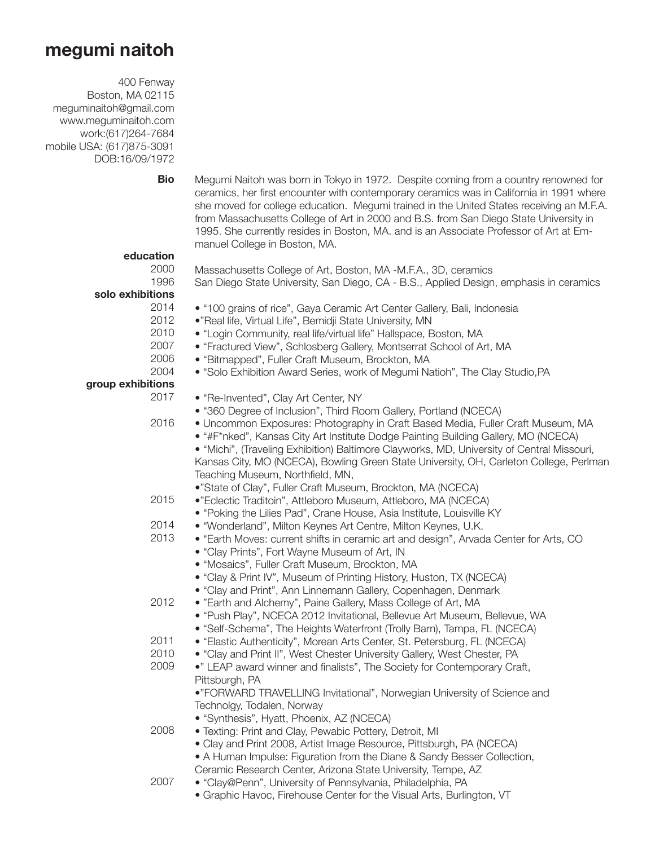## **megumi naitoh**

400 Fenway Boston, MA 02115 meguminaitoh@gmail.com www.meguminaitoh.com work:(617)264-7684 mobile USA: (617)875-3091 DOB:16/09/1972

- **Bio education** 2000 1996 **solo exhibitions** 2014 2012 2010 2007 2006 2004 **group exhibitions** 2017 2016 2015 2014 2013 2012 2011 2010 2009 2008 2007 Megumi Naitoh was born in Tokyo in 1972. Despite coming from a country renowned for ceramics, her first encounter with contemporary ceramics was in California in 1991 where she moved for college education. Megumi trained in the United States receiving an M.F.A. from Massachusetts College of Art in 2000 and B.S. from San Diego State University in 1995. She currently resides in Boston, MA. and is an Associate Professor of Art at Emmanuel College in Boston, MA. Massachusetts College of Art, Boston, MA -M.F.A., 3D, ceramics San Diego State University, San Diego, CA - B.S., Applied Design, emphasis in ceramics • "100 grains of rice", Gaya Ceramic Art Center Gallery, Bali, Indonesia •"Real life, Virtual Life", Bemidji State University, MN • "Login Community, real life/virtual life" Hallspace, Boston, MA • "Fractured View", Schlosberg Gallery, Montserrat School of Art, MA • "Bitmapped", Fuller Craft Museum, Brockton, MA • "Solo Exhibition Award Series, work of Megumi Natioh", The Clay Studio,PA • "Re-Invented", Clay Art Center, NY • "360 Degree of Inclusion", Third Room Gallery, Portland (NCECA) • Uncommon Exposures: Photography in Craft Based Media, Fuller Craft Museum, MA • "#F\*nked", Kansas City Art Institute Dodge Painting Building Gallery, MO (NCECA) • "Michi", (Traveling Exhibition) Baltimore Clayworks, MD, University of Central Missouri, Kansas City, MO (NCECA), Bowling Green State University, OH, Carleton College, Perlman Teaching Museum, Northfield, MN, •"State of Clay", Fuller Craft Museum, Brockton, MA (NCECA) •"Eclectic Traditoin", Attleboro Museum, Attleboro, MA (NCECA) • "Poking the Lilies Pad", Crane House, Asia Institute, Louisville KY • "Wonderland", Milton Keynes Art Centre, Milton Keynes, U.K. • "Earth Moves: current shifts in ceramic art and design", Arvada Center for Arts, CO • "Clay Prints", Fort Wayne Museum of Art, IN • "Mosaics", Fuller Craft Museum, Brockton, MA • "Clay & Print IV", Museum of Printing History, Huston, TX (NCECA) • "Clay and Print", Ann Linnemann Gallery, Copenhagen, Denmark • "Earth and Alchemy", Paine Gallery, Mass College of Art, MA • "Push Play", NCECA 2012 Invitational, Bellevue Art Museum, Bellevue, WA • "Self-Schema", The Heights Waterfront (Trolly Barn), Tampa, FL (NCECA) • "Elastic Authenticity", Morean Arts Center, St. Petersburg, FL (NCECA) • "Clay and Print II", West Chester University Gallery, West Chester, PA •" LEAP award winner and finalists", The Society for Contemporary Craft, Pittsburgh, PA •"FORWARD TRAVELLING Invitational", Norwegian University of Science and Technolgy, Todalen, Norway • "Synthesis", Hyatt, Phoenix, AZ (NCECA) • Texting: Print and Clay, Pewabic Pottery, Detroit, MI • Clay and Print 2008, Artist Image Resource, Pittsburgh, PA (NCECA) • A Human Impulse: Figuration from the Diane & Sandy Besser Collection, Ceramic Research Center, Arizona State University, Tempe, AZ • "Clay@Penn", University of Pennsylvania, Philadelphia, PA
	- Graphic Havoc, Firehouse Center for the Visual Arts, Burlington, VT